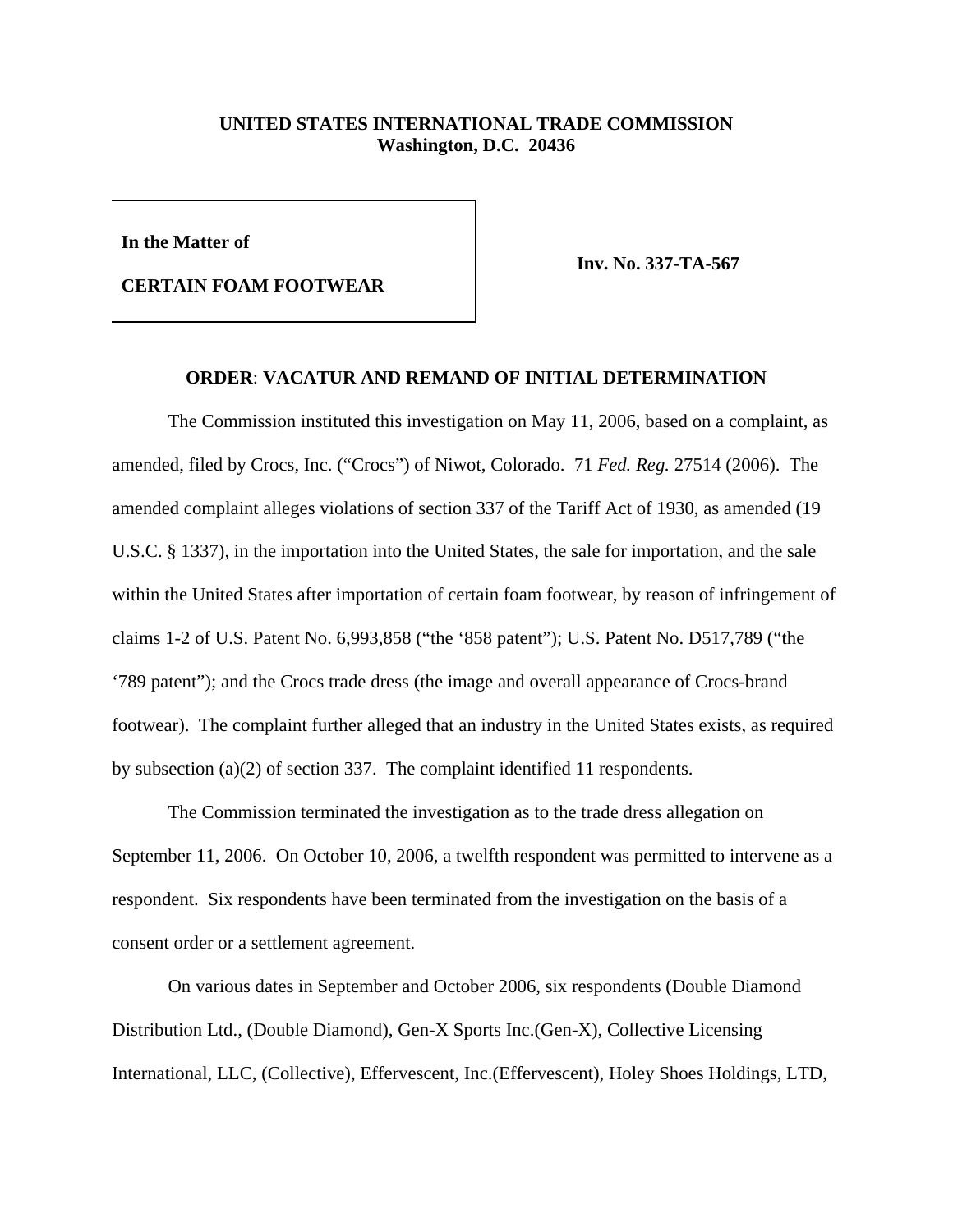## **UNITED STATES INTERNATIONAL TRADE COMMISSION Washington, D.C. 20436**

**In the Matter of**

**CERTAIN FOAM FOOTWEAR**

**Inv. No. 337-TA-567**

## **ORDER**: **VACATUR AND REMAND OF INITIAL DETERMINATION**

The Commission instituted this investigation on May 11, 2006, based on a complaint, as amended, filed by Crocs, Inc. ("Crocs") of Niwot, Colorado. 71 *Fed. Reg.* 27514 (2006). The amended complaint alleges violations of section 337 of the Tariff Act of 1930, as amended (19 U.S.C. § 1337), in the importation into the United States, the sale for importation, and the sale within the United States after importation of certain foam footwear, by reason of infringement of claims 1-2 of U.S. Patent No. 6,993,858 ("the '858 patent"); U.S. Patent No. D517,789 ("the '789 patent"); and the Crocs trade dress (the image and overall appearance of Crocs-brand footwear). The complaint further alleged that an industry in the United States exists, as required by subsection (a)(2) of section 337. The complaint identified 11 respondents.

The Commission terminated the investigation as to the trade dress allegation on September 11, 2006. On October 10, 2006, a twelfth respondent was permitted to intervene as a respondent. Six respondents have been terminated from the investigation on the basis of a consent order or a settlement agreement.

On various dates in September and October 2006, six respondents (Double Diamond Distribution Ltd., (Double Diamond), Gen-X Sports Inc.(Gen-X), Collective Licensing International, LLC, (Collective), Effervescent, Inc.(Effervescent), Holey Shoes Holdings, LTD,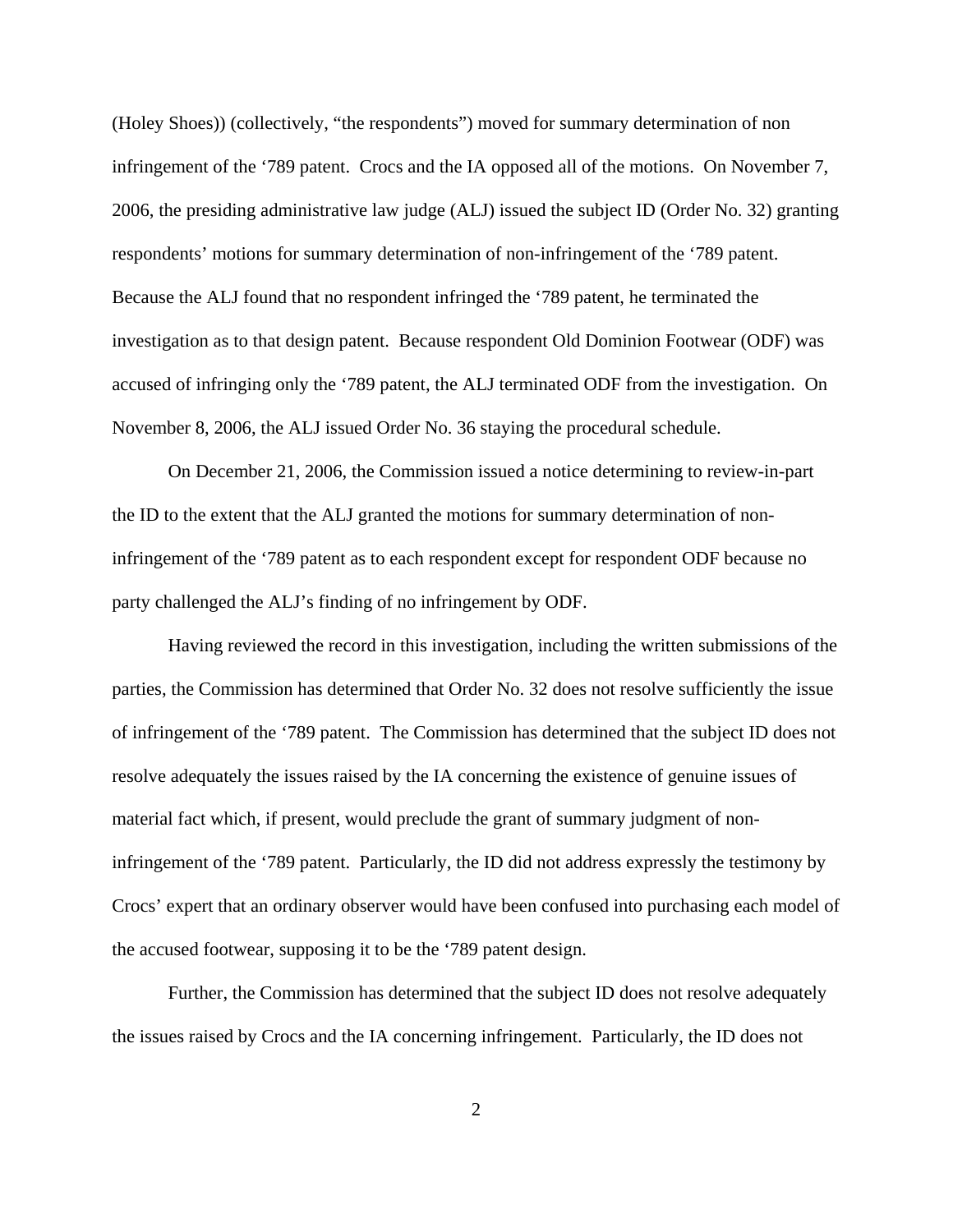(Holey Shoes)) (collectively, "the respondents") moved for summary determination of non infringement of the '789 patent. Crocs and the IA opposed all of the motions. On November 7, 2006, the presiding administrative law judge (ALJ) issued the subject ID (Order No. 32) granting respondents' motions for summary determination of non-infringement of the '789 patent. Because the ALJ found that no respondent infringed the '789 patent, he terminated the investigation as to that design patent. Because respondent Old Dominion Footwear (ODF) was accused of infringing only the '789 patent, the ALJ terminated ODF from the investigation. On November 8, 2006, the ALJ issued Order No. 36 staying the procedural schedule.

On December 21, 2006, the Commission issued a notice determining to review-in-part the ID to the extent that the ALJ granted the motions for summary determination of noninfringement of the '789 patent as to each respondent except for respondent ODF because no party challenged the ALJ's finding of no infringement by ODF.

 Having reviewed the record in this investigation, including the written submissions of the parties, the Commission has determined that Order No. 32 does not resolve sufficiently the issue of infringement of the '789 patent. The Commission has determined that the subject ID does not resolve adequately the issues raised by the IA concerning the existence of genuine issues of material fact which, if present, would preclude the grant of summary judgment of noninfringement of the '789 patent. Particularly, the ID did not address expressly the testimony by Crocs' expert that an ordinary observer would have been confused into purchasing each model of the accused footwear, supposing it to be the '789 patent design.

Further, the Commission has determined that the subject ID does not resolve adequately the issues raised by Crocs and the IA concerning infringement. Particularly, the ID does not